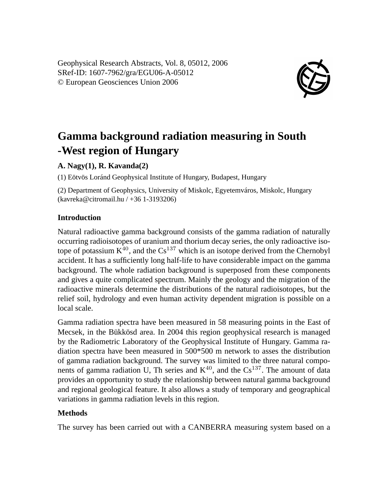Geophysical Research Abstracts, Vol. 8, 05012, 2006 SRef-ID: 1607-7962/gra/EGU06-A-05012 © European Geosciences Union 2006



# **Gamma background radiation measuring in South -West region of Hungary**

#### **A. Nagy(1), R. Kavanda(2)**

(1) Eötvös Loránd Geophysical Institute of Hungary, Budapest, Hungary

(2) Department of Geophysics, University of Miskolc, Egyetemváros, Miskolc, Hungary (kavreka@citromail.hu / +36 1-3193206)

### **Introduction**

Natural radioactive gamma background consists of the gamma radiation of naturally occurring radioisotopes of uranium and thorium decay series, the only radioactive isotope of potassium  $K^{40}$ , and the  $Cs^{137}$  which is an isotope derived from the Chernobyl accident. It has a sufficiently long half-life to have considerable impact on the gamma background. The whole radiation background is superposed from these components and gives a quite complicated spectrum. Mainly the geology and the migration of the radioactive minerals determine the distributions of the natural radioisotopes, but the relief soil, hydrology and even human activity dependent migration is possible on a local scale.

Gamma radiation spectra have been measured in 58 measuring points in the East of Mecsek, in the Bükkösd area. In 2004 this region geophysical research is managed by the Radiometric Laboratory of the Geophysical Institute of Hungary. Gamma radiation spectra have been measured in 500\*500 m network to asses the distribution of gamma radiation background. The survey was limited to the three natural components of gamma radiation U, Th series and  $K^{40}$ , and the Cs<sup>137</sup>. The amount of data provides an opportunity to study the relationship between natural gamma background and regional geological feature. It also allows a study of temporary and geographical variations in gamma radiation levels in this region.

## **Methods**

The survey has been carried out with a CANBERRA measuring system based on a